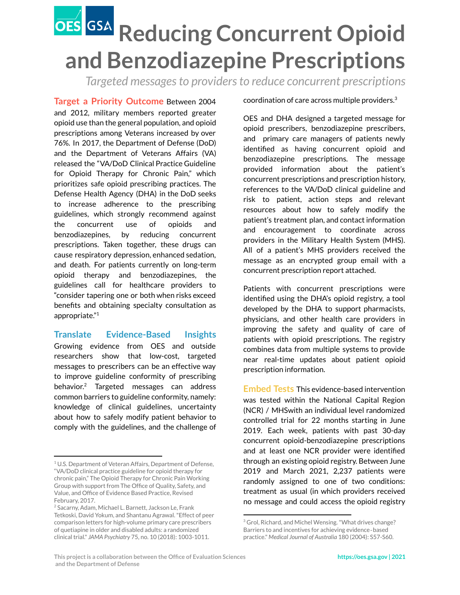## **Reducing Concurrent Opioid and Benzodiazepine Prescriptions**

*Targeted messagesto providersto reduce concurrent prescriptions*

**Target a Priority Outcome** Between 2004 and 2012, military members reported greater opioid use than the general population, and opioid prescriptions among Veterans increased by over 76%. In 2017, the Department of Defense (DoD) and the Department of Veterans Affairs (VA) released the "VA/DoD Clinical Practice Guideline for Opioid Therapy for Chronic Pain," which prioritizes safe opioid prescribing practices. The Defense Health Agency (DHA) in the DoD seeks to increase adherence to the prescribing guidelines, which strongly recommend against the concurrent use of opioids and benzodiazepines, by reducing concurrent prescriptions. Taken together, these drugs can cause respiratory depression, enhanced sedation, and death. For patients currently on long-term opioid therapy and benzodiazepines, the guidelines call for healthcare providers to "consider tapering one or both when risks exceed benefits and obtaining specialty consultation as appropriate." 1

**Translate Evidence-Based Insights** Growing evidence from OES and outside researchers show that low-cost, targeted messages to prescribers can be an effective way to improve guideline conformity of prescribing behavior. $2$  Targeted messages can address common barriers to guideline conformity, namely: knowledge of clinical guidelines, uncertainty about how to safely modify patient behavior to comply with the guidelines, and the challenge of coordination of care across multiple providers. $^3$ 

OES and DHA designed a targeted message for opioid prescribers, benzodiazepine prescribers, and primary care managers of patients newly identified as having concurrent opioid and benzodiazepine prescriptions. The message provided information about the patient's concurrent prescriptions and prescription history, references to the VA/DoD clinical guideline and risk to patient, action steps and relevant resources about how to safely modify the patient's treatment plan, and contact information and encouragement to coordinate across providers in the Military Health System (MHS). All of a patient's MHS providers received the message as an encrypted group email with a concurrent prescription report attached.

Patients with concurrent prescriptions were identified using the DHA's opioid registry, a tool developed by the DHA to support pharmacists, physicians, and other health care providers in improving the safety and quality of care of patients with opioid prescriptions. The registry combines data from multiple systems to provide near real-time updates about patient opioid prescription information.

**Embed Tests** This evidence-based intervention was tested within the National Capital Region (NCR) / MHSwith an individual level randomized controlled trial for 22 months starting in June 2019. Each week, patients with past 30-day concurrent opioid-benzodiazepine prescriptions and at least one NCR provider were identified through an existing opioid registry. Between June 2019 and March 2021, 2,237 patients were randomly assigned to one of two conditions: treatment as usual (in which providers received no message and could access the opioid registry

<sup>&</sup>lt;sup>1</sup> U.S. Department of Veteran Affairs, Department of Defense, "VA/DoD clinical practice guideline for opioid therapy for chronic pain," The Opioid Therapy for Chronic Pain Working Group with support from The Office of Quality, Safety, and Value, and Office of Evidence Based Practice, Revised February, 2017.

<sup>2</sup> Sacarny, Adam, Michael L. Barnett, Jackson Le, Frank Tetkoski, David Yokum, and Shantanu Agrawal."Effect of peer comparison letters for high-volume primary care prescribers of quetiapine in older and disabled adults: a randomized clinical trial." *JAMA Psychiatry* 75, no. 10 (2018): 1003-1011.

<sup>&</sup>lt;sup>3</sup> Grol, Richard, and Michel Wensing. "What drives change? Barriers to and incentives for achieving evidence‐based practice." *Medical Journal of Australia* 180 (2004): S57-S60.